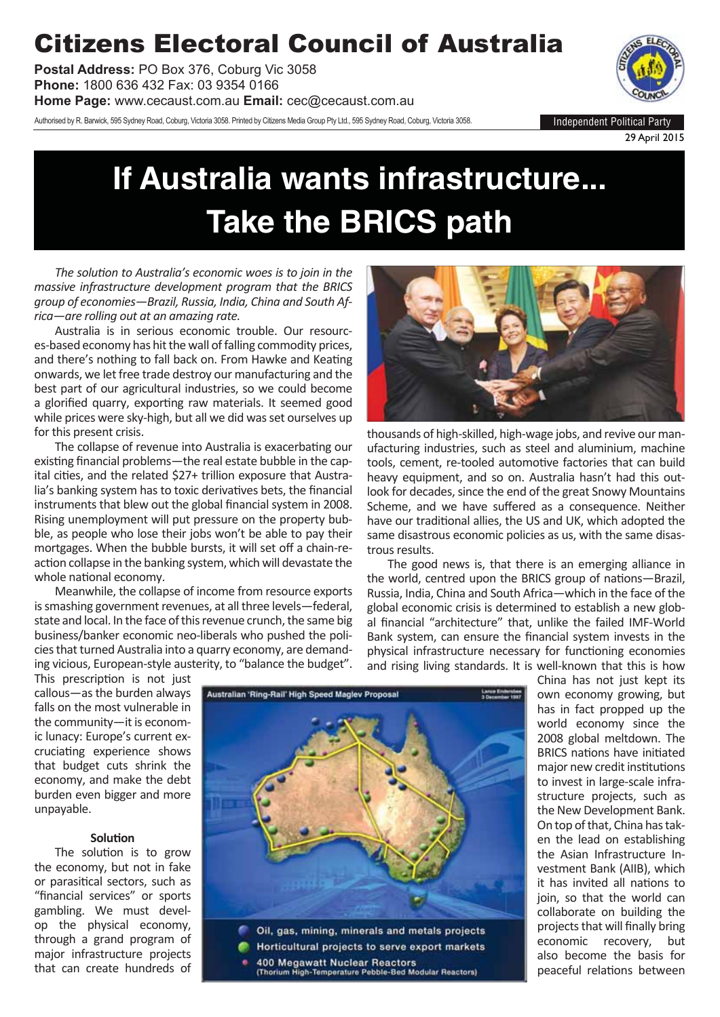## Citizens Electoral Council of Australia

**Postal Address:** PO Box 376, Coburg Vic 3058 **Phone:** 1800 636 432 Fax: 03 9354 0166

**Home Page:** www.cecaust.com.au **Email:** cec@cecaust.com.au

Authorised by R. Barwick, 595 Sydney Road, Coburg, Victoria 3058. Printed by Citizens Media Group Pty Ltd., 595 Sydney Road, Coburg, Victoria 3058.



29 April 2015

# **If Australia wants infrastructure... Take the BRICS path**

*The soluƟ on to Australia's economic woes is to join in the massive infrastructure development program that the BRICS group of economies—Brazil, Russia, India, China and South Africa—are rolling out at an amazing rate.*

Australia is in serious economic trouble. Our resources-based economy has hit the wall of falling commodity prices, and there's nothing to fall back on. From Hawke and Keating onwards, we let free trade destroy our manufacturing and the best part of our agricultural industries, so we could become a glorified quarry, exporting raw materials. It seemed good while prices were sky-high, but all we did was set ourselves up for this present crisis.

The collapse of revenue into Australia is exacerbating our existing financial problems—the real estate bubble in the capital cities, and the related \$27+ trillion exposure that Australia's banking system has to toxic derivatives bets, the financial instruments that blew out the global financial system in 2008. Rising unemployment will put pressure on the property bubble, as people who lose their jobs won't be able to pay their mortgages. When the bubble bursts, it will set off a chain-reaction collapse in the banking system, which will devastate the whole national economy.

Meanwhile, the collapse of income from resource exports is smashing government revenues, at all three levels—federal, state and local. In the face of this revenue crunch, the same big business/banker economic neo-liberals who pushed the policies that turned Australia into a quarry economy, are demanding vicious, European-style austerity, to "balance the budget".



thousands of high-skilled, high-wage jobs, and revive our manufacturing industries, such as steel and aluminium, machine tools, cement, re-tooled automotive factories that can build heavy equipment, and so on. Australia hasn't had this outlook for decades, since the end of the great Snowy Mountains Scheme, and we have suffered as a consequence. Neither have our traditional allies, the US and UK, which adopted the same disastrous economic policies as us, with the same disastrous results.

The good news is, that there is an emerging alliance in the world, centred upon the BRICS group of nations-Brazil, Russia, India, China and South Africa—which in the face of the global economic crisis is determined to establish a new global financial "architecture" that, unlike the failed IMF-World Bank system, can ensure the financial system invests in the physical infrastructure necessary for functioning economies and rising living standards. It is well-known that this is how

This prescription is not just callous—as the burden always falls on the most vulnerable in the community—it is economic lunacy: Europe's current excruciating experience shows that budget cuts shrink the economy, and make the debt burden even bigger and more unpayable.



(Thorium High-Temperature Pebble-Bed Modular Reactors)

China has not just kept its own economy growing, but has in fact propped up the world economy since the 2008 global meltdown. The BRICS nations have initiated major new credit institutions to invest in large-scale infrastructure projects, such as the New Development Bank. On top of that, China has taken the lead on establishing the Asian Infrastructure Investment Bank (AIIB), which it has invited all nations to join, so that the world can collaborate on building the projects that will finally bring economic recovery, but also become the basis for peaceful relations between

#### **Solution**

The solution is to grow the economy, but not in fake or parasitical sectors, such as "financial services" or sports gambling. We must develop the physical economy, through a grand program of major infrastructure projects that can create hundreds of